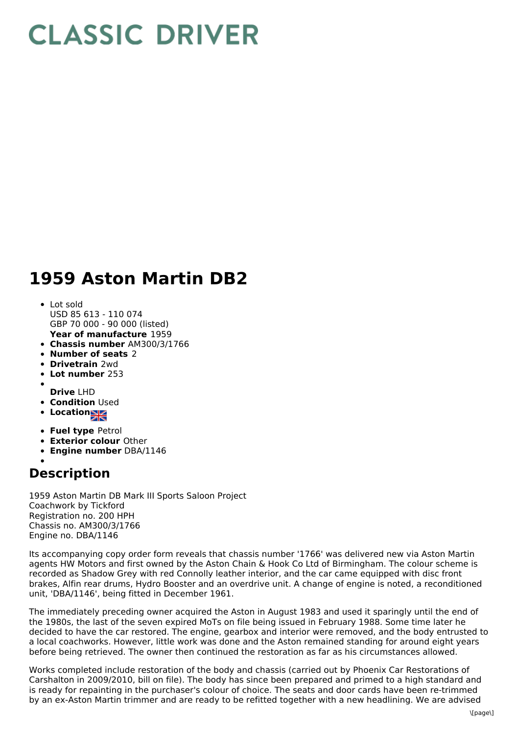## **CLASSIC DRIVER**

## **1959 Aston Martin DB2**

- **Year of manufacture** 1959 Lot sold USD 85 613 - 110 074 GBP 70 000 - 90 000 (listed)
- **Chassis number** AM300/3/1766
- **Number of seats** 2
- **Drivetrain** 2wd
- **Lot number** 253
- 
- **Drive** LHD
- **Condition Used**
- **Location**
- **Fuel type** Petrol
- **Exterior colour** Other
- **Engine number** DBA/1146

## **Description**

1959 Aston Martin DB Mark III Sports Saloon Project Coachwork by Tickford Registration no. 200 HPH Chassis no. AM300/3/1766 Engine no. DBA/1146

Its accompanying copy order form reveals that chassis number '1766' was delivered new via Aston Martin agents HW Motors and first owned by the Aston Chain & Hook Co Ltd of Birmingham. The colour scheme is recorded as Shadow Grey with red Connolly leather interior, and the car came equipped with disc front brakes, Alfin rear drums, Hydro Booster and an overdrive unit. A change of engine is noted, a reconditioned unit, 'DBA/1146', being fitted in December 1961.

The immediately preceding owner acquired the Aston in August 1983 and used it sparingly until the end of the 1980s, the last of the seven expired MoTs on file being issued in February 1988. Some time later he decided to have the car restored. The engine, gearbox and interior were removed, and the body entrusted to a local coachworks. However, little work was done and the Aston remained standing for around eight years before being retrieved. The owner then continued the restoration as far as his circumstances allowed.

Works completed include restoration of the body and chassis (carried out by Phoenix Car Restorations of Carshalton in 2009/2010, bill on file). The body has since been prepared and primed to a high standard and is ready for repainting in the purchaser's colour of choice. The seats and door cards have been re-trimmed by an ex-Aston Martin trimmer and are ready to be refitted together with a new headlining. We are advised